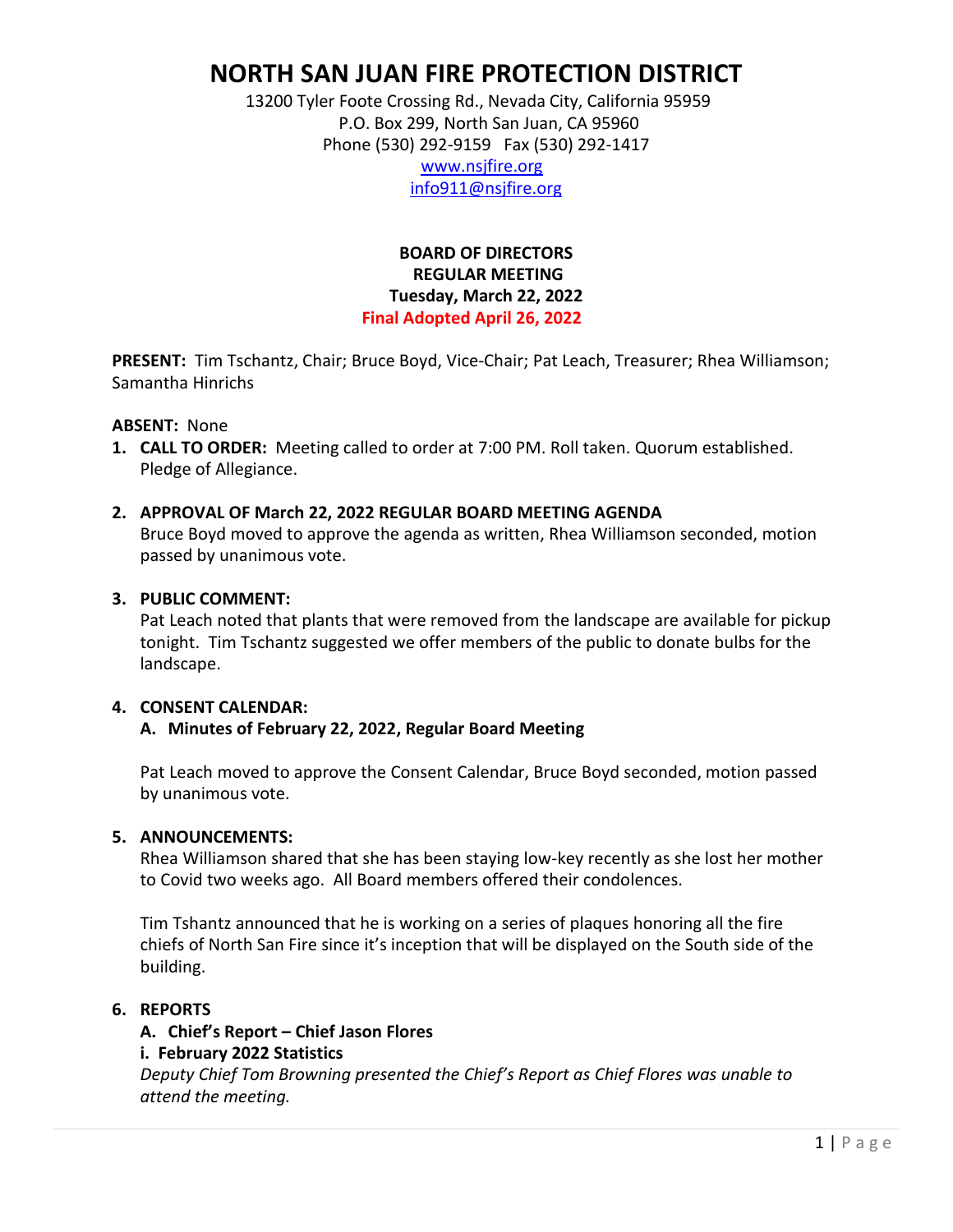# **NORTH SAN JUAN FIRE PROTECTION DISTRICT**

 13200 Tyler Foote Crossing Rd., Nevada City, California 95959 P.O. Box 299, North San Juan, CA 95960 Phone (530) 292-9159 Fax (530) 292-1417

 [www.nsjfire.org](http://www.nsjfire.org/) [info911@nsjfire.org](mailto:info911@nsjfire.org)

## **BOARD OF DIRECTORS REGULAR MEETING Tuesday, March 22, 2022 Final Adopted April 26, 2022**

**PRESENT:** Tim Tschantz, Chair; Bruce Boyd, Vice-Chair; Pat Leach, Treasurer; Rhea Williamson; Samantha Hinrichs

### **ABSENT:** None

**1. CALL TO ORDER:** Meeting called to order at 7:00 PM. Roll taken. Quorum established. Pledge of Allegiance.

### **2. APPROVAL OF March 22, 2022 REGULAR BOARD MEETING AGENDA**

Bruce Boyd moved to approve the agenda as written, Rhea Williamson seconded, motion passed by unanimous vote.

### **3. PUBLIC COMMENT:**

Pat Leach noted that plants that were removed from the landscape are available for pickup tonight. Tim Tschantz suggested we offer members of the public to donate bulbs for the landscape.

### **4. CONSENT CALENDAR:**

### **A. Minutes of February 22, 2022, Regular Board Meeting**

Pat Leach moved to approve the Consent Calendar, Bruce Boyd seconded, motion passed by unanimous vote.

### **5. ANNOUNCEMENTS:**

Rhea Williamson shared that she has been staying low-key recently as she lost her mother to Covid two weeks ago. All Board members offered their condolences.

Tim Tshantz announced that he is working on a series of plaques honoring all the fire chiefs of North San Fire since it's inception that will be displayed on the South side of the building.

### **6. REPORTS**

### **A. Chief's Report – Chief Jason Flores i. February 2022 Statistics** *Deputy Chief Tom Browning presented the Chief's Report as Chief Flores was unable to attend the meeting.*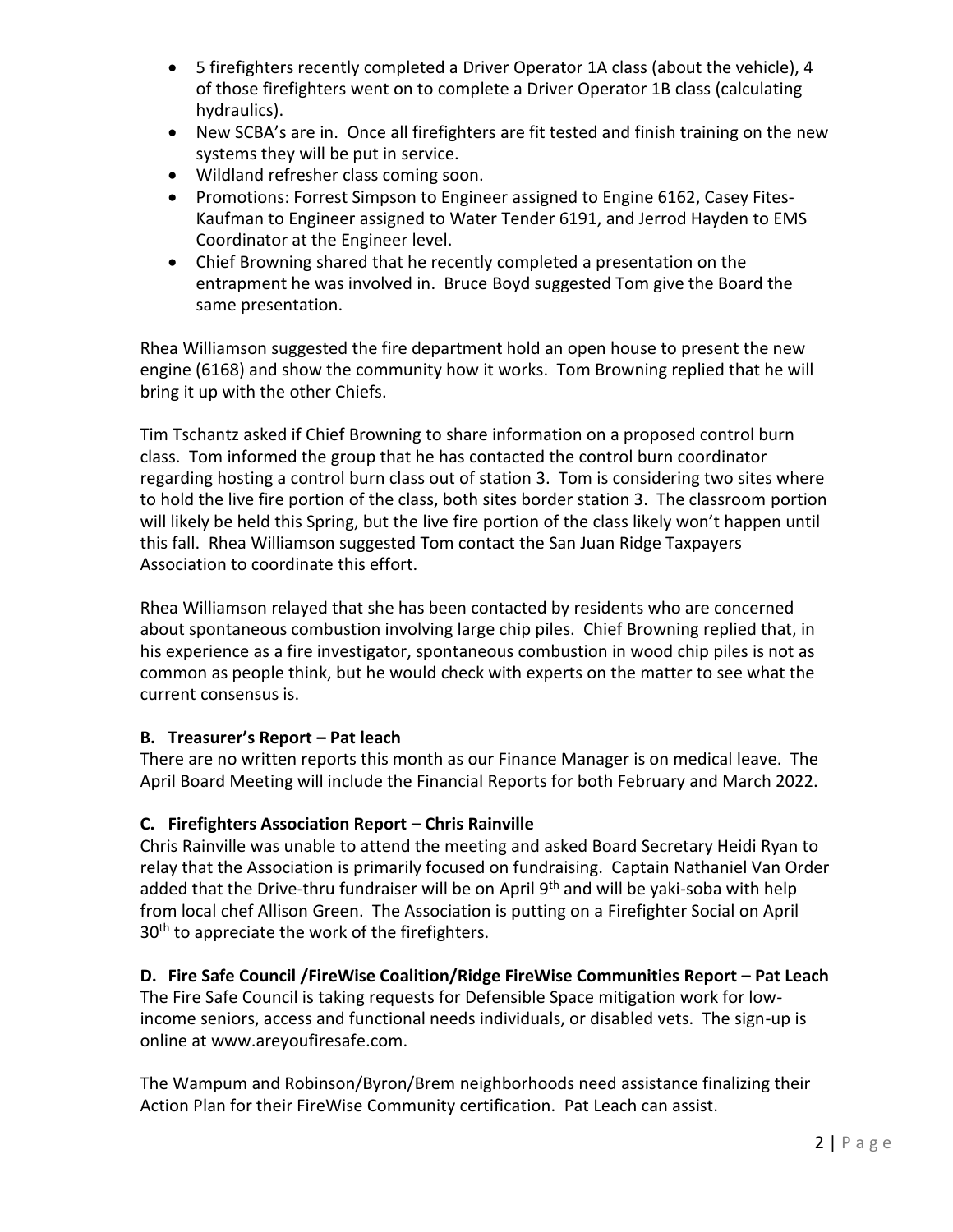- 5 firefighters recently completed a Driver Operator 1A class (about the vehicle), 4 of those firefighters went on to complete a Driver Operator 1B class (calculating hydraulics).
- New SCBA's are in. Once all firefighters are fit tested and finish training on the new systems they will be put in service.
- Wildland refresher class coming soon.
- Promotions: Forrest Simpson to Engineer assigned to Engine 6162, Casey Fites-Kaufman to Engineer assigned to Water Tender 6191, and Jerrod Hayden to EMS Coordinator at the Engineer level.
- Chief Browning shared that he recently completed a presentation on the entrapment he was involved in. Bruce Boyd suggested Tom give the Board the same presentation.

Rhea Williamson suggested the fire department hold an open house to present the new engine (6168) and show the community how it works. Tom Browning replied that he will bring it up with the other Chiefs.

Tim Tschantz asked if Chief Browning to share information on a proposed control burn class. Tom informed the group that he has contacted the control burn coordinator regarding hosting a control burn class out of station 3. Tom is considering two sites where to hold the live fire portion of the class, both sites border station 3. The classroom portion will likely be held this Spring, but the live fire portion of the class likely won't happen until this fall. Rhea Williamson suggested Tom contact the San Juan Ridge Taxpayers Association to coordinate this effort.

Rhea Williamson relayed that she has been contacted by residents who are concerned about spontaneous combustion involving large chip piles. Chief Browning replied that, in his experience as a fire investigator, spontaneous combustion in wood chip piles is not as common as people think, but he would check with experts on the matter to see what the current consensus is.

# **B. Treasurer's Report – Pat leach**

There are no written reports this month as our Finance Manager is on medical leave. The April Board Meeting will include the Financial Reports for both February and March 2022.

# **C. Firefighters Association Report – Chris Rainville**

Chris Rainville was unable to attend the meeting and asked Board Secretary Heidi Ryan to relay that the Association is primarily focused on fundraising. Captain Nathaniel Van Order added that the Drive-thru fundraiser will be on April 9<sup>th</sup> and will be yaki-soba with help from local chef Allison Green. The Association is putting on a Firefighter Social on April 30<sup>th</sup> to appreciate the work of the firefighters.

# **D.** Fire Safe Council /FireWise Coalition/Ridge FireWise Communities Report – Pat Leach

The Fire Safe Council is taking requests for Defensible Space mitigation work for lowincome seniors, access and functional needs individuals, or disabled vets. The sign-up is online at www.areyoufiresafe.com.

The Wampum and Robinson/Byron/Brem neighborhoods need assistance finalizing their Action Plan for their FireWise Community certification. Pat Leach can assist.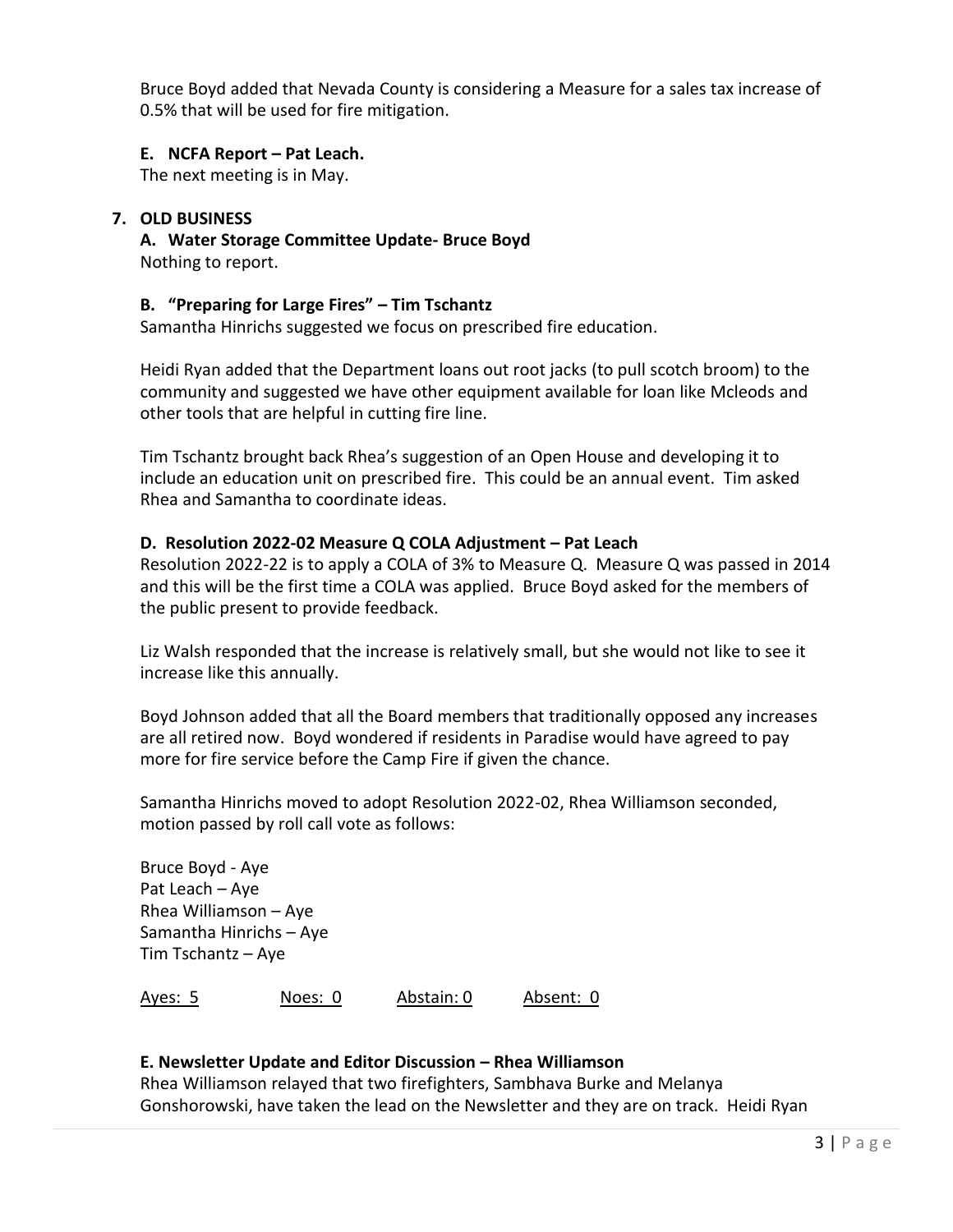Bruce Boyd added that Nevada County is considering a Measure for a sales tax increase of 0.5% that will be used for fire mitigation.

### **E. NCFA Report – Pat Leach.**

The next meeting is in May.

### **7. OLD BUSINESS**

**A. Water Storage Committee Update- Bruce Boyd** Nothing to report.

### **B. "Preparing for Large Fires" – Tim Tschantz**

Samantha Hinrichs suggested we focus on prescribed fire education.

Heidi Ryan added that the Department loans out root jacks (to pull scotch broom) to the community and suggested we have other equipment available for loan like Mcleods and other tools that are helpful in cutting fire line.

Tim Tschantz brought back Rhea's suggestion of an Open House and developing it to include an education unit on prescribed fire. This could be an annual event. Tim asked Rhea and Samantha to coordinate ideas.

### **D. Resolution 2022-02 Measure Q COLA Adjustment – Pat Leach**

Resolution 2022-22 is to apply a COLA of 3% to Measure Q. Measure Q was passed in 2014 and this will be the first time a COLA was applied. Bruce Boyd asked for the members of the public present to provide feedback.

Liz Walsh responded that the increase is relatively small, but she would not like to see it increase like this annually.

Boyd Johnson added that all the Board members that traditionally opposed any increases are all retired now. Boyd wondered if residents in Paradise would have agreed to pay more for fire service before the Camp Fire if given the chance.

Samantha Hinrichs moved to adopt Resolution 2022-02, Rhea Williamson seconded, motion passed by roll call vote as follows:

Bruce Boyd - Aye Pat Leach – Aye Rhea Williamson – Aye Samantha Hinrichs – Aye Tim Tschantz – Aye

Ayes: 5 Noes: 0 Abstain: 0 Absent: 0

### **E. Newsletter Update and Editor Discussion – Rhea Williamson**

Rhea Williamson relayed that two firefighters, Sambhava Burke and Melanya Gonshorowski, have taken the lead on the Newsletter and they are on track. Heidi Ryan